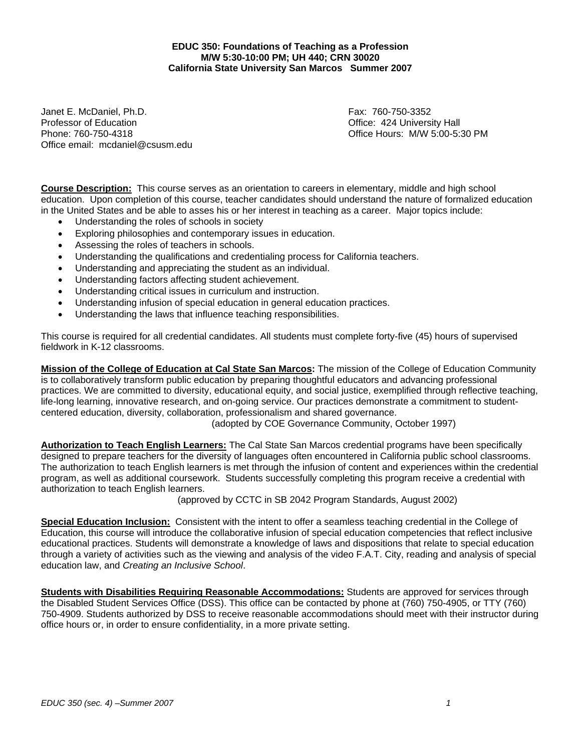**EDUC 350: Foundations of Teaching as a Profession M/W 5:30-10:00 PM; UH 440; CRN 30020 California State University San Marcos Summer 2007** 

Janet E. McDaniel, Ph.D. Fax: 760-750-3352 Professor of Education **Contract Contract Contract Contract Contract Contract Contract Contract Contract Contract Contract Contract Contract Contract Contract Contract Contract Contract Contract Contract Contract Contract** Phone: 760-750-4318 Office Hours: M/W 5:00-5:30 PM Office email: mcdaniel@csusm.edu

**Course Description:** This course serves as an orientation to careers in elementary, middle and high school education. Upon completion of this course, teacher candidates should understand the nature of formalized education in the United States and be able to asses his or her interest in teaching as a career. Major topics include:

- Understanding the roles of schools in society
- Exploring philosophies and contemporary issues in education.
- Assessing the roles of teachers in schools.
- Understanding the qualifications and credentialing process for California teachers.
- Understanding and appreciating the student as an individual.
- Understanding factors affecting student achievement.
- Understanding critical issues in curriculum and instruction.
- Understanding infusion of special education in general education practices.
- Understanding the laws that influence teaching responsibilities.

This course is required for all credential candidates. All students must complete forty-five (45) hours of supervised fieldwork in K-12 classrooms.

**Mission of the College of Education at Cal State San Marcos:** The mission of the College of Education Community is to collaboratively transform public education by preparing thoughtful educators and advancing professional practices. We are committed to diversity, educational equity, and social justice, exemplified through reflective teaching, life-long learning, innovative research, and on-going service. Our practices demonstrate a commitment to studentcentered education, diversity, collaboration, professionalism and shared governance.

(adopted by COE Governance Community, October 1997)

**Authorization to Teach English Learners:** The Cal State San Marcos credential programs have been specifically designed to prepare teachers for the diversity of languages often encountered in California public school classrooms. The authorization to teach English learners is met through the infusion of content and experiences within the credential program, as well as additional coursework. Students successfully completing this program receive a credential with authorization to teach English learners.

(approved by CCTC in SB 2042 Program Standards, August 2002)

**Special Education Inclusion:** Consistent with the intent to offer a seamless teaching credential in the College of Education, this course will introduce the collaborative infusion of special education competencies that reflect inclusive educational practices. Students will demonstrate a knowledge of laws and dispositions that relate to special education through a variety of activities such as the viewing and analysis of the video F.A.T. City, reading and analysis of special education law, and *Creating an Inclusive School*.

**Students with Disabilities Requiring Reasonable Accommodations:** Students are approved for services through the Disabled Student Services Office (DSS). This office can be contacted by phone at (760) 750-4905, or TTY (760) 750-4909. Students authorized by DSS to receive reasonable accommodations should meet with their instructor during office hours or, in order to ensure confidentiality, in a more private setting.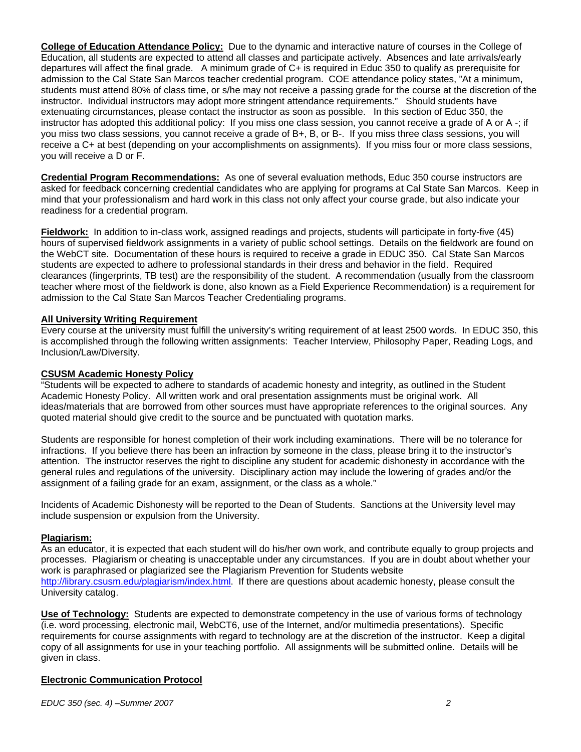**College of Education Attendance Policy:** Due to the dynamic and interactive nature of courses in the College of Education, all students are expected to attend all classes and participate actively. Absences and late arrivals/early departures will affect the final grade. A minimum grade of C+ is required in Educ 350 to qualify as prerequisite for admission to the Cal State San Marcos teacher credential program. COE attendance policy states, "At a minimum, students must attend 80% of class time, or s/he may not receive a passing grade for the course at the discretion of the instructor. Individual instructors may adopt more stringent attendance requirements." Should students have extenuating circumstances, please contact the instructor as soon as possible. In this section of Educ 350, the instructor has adopted this additional policy: If you miss one class session, you cannot receive a grade of A or A -; if you miss two class sessions, you cannot receive a grade of B+, B, or B-. If you miss three class sessions, you will receive a C+ at best (depending on your accomplishments on assignments). If you miss four or more class sessions, you will receive a D or F.

**Credential Program Recommendations:** As one of several evaluation methods, Educ 350 course instructors are asked for feedback concerning credential candidates who are applying for programs at Cal State San Marcos. Keep in mind that your professionalism and hard work in this class not only affect your course grade, but also indicate your readiness for a credential program.

**Fieldwork:** In addition to in-class work, assigned readings and projects, students will participate in forty-five (45) hours of supervised fieldwork assignments in a variety of public school settings. Details on the fieldwork are found on the WebCT site. Documentation of these hours is required to receive a grade in EDUC 350. Cal State San Marcos students are expected to adhere to professional standards in their dress and behavior in the field. Required clearances (fingerprints, TB test) are the responsibility of the student. A recommendation (usually from the classroom teacher where most of the fieldwork is done, also known as a Field Experience Recommendation) is a requirement for admission to the Cal State San Marcos Teacher Credentialing programs.

## **All University Writing Requirement**

Every course at the university must fulfill the university's writing requirement of at least 2500 words. In EDUC 350, this is accomplished through the following written assignments: Teacher Interview, Philosophy Paper, Reading Logs, and Inclusion/Law/Diversity.

## **CSUSM Academic Honesty Policy**

"Students will be expected to adhere to standards of academic honesty and integrity, as outlined in the Student Academic Honesty Policy. All written work and oral presentation assignments must be original work. All ideas/materials that are borrowed from other sources must have appropriate references to the original sources. Any quoted material should give credit to the source and be punctuated with quotation marks.

Students are responsible for honest completion of their work including examinations. There will be no tolerance for infractions. If you believe there has been an infraction by someone in the class, please bring it to the instructor's attention. The instructor reserves the right to discipline any student for academic dishonesty in accordance with the general rules and regulations of the university. Disciplinary action may include the lowering of grades and/or the assignment of a failing grade for an exam, assignment, or the class as a whole."

Incidents of Academic Dishonesty will be reported to the Dean of Students. Sanctions at the University level may include suspension or expulsion from the University.

## **Plagiarism:**

As an educator, it is expected that each student will do his/her own work, and contribute equally to group projects and processes. Plagiarism or cheating is unacceptable under any circumstances. If you are in doubt about whether your work is paraphrased or plagiarized see the Plagiarism Prevention for Students website http://library.csusm.edu/plagiarism/index.html. If there are questions about academic honesty, please consult the University catalog.

**Use of Technology:** Students are expected to demonstrate competency in the use of various forms of technology (i.e. word processing, electronic mail, WebCT6, use of the Internet, and/or multimedia presentations). Specific requirements for course assignments with regard to technology are at the discretion of the instructor. Keep a digital copy of all assignments for use in your teaching portfolio. All assignments will be submitted online. Details will be given in class.

## **Electronic Communication Protocol**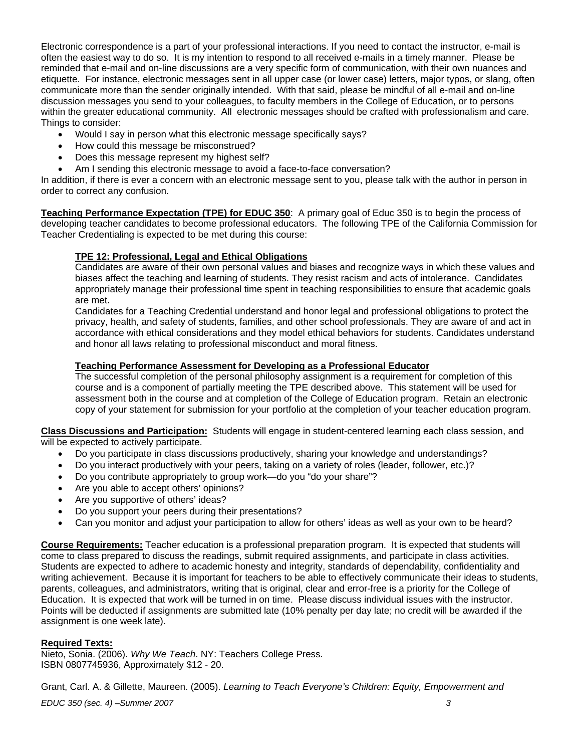Electronic correspondence is a part of your professional interactions. If you need to contact the instructor, e-mail is often the easiest way to do so. It is my intention to respond to all received e-mails in a timely manner. Please be reminded that e-mail and on-line discussions are a very specific form of communication, with their own nuances and etiquette. For instance, electronic messages sent in all upper case (or lower case) letters, major typos, or slang, often communicate more than the sender originally intended. With that said, please be mindful of all e-mail and on-line discussion messages you send to your colleagues, to faculty members in the College of Education, or to persons within the greater educational community. All electronic messages should be crafted with professionalism and care. Things to consider:

- Would I say in person what this electronic message specifically says?
- How could this message be misconstrued?
- Does this message represent my highest self?
- Am I sending this electronic message to avoid a face-to-face conversation?

In addition, if there is ever a concern with an electronic message sent to you, please talk with the author in person in order to correct any confusion.

**Teaching Performance Expectation (TPE) for EDUC 350**: A primary goal of Educ 350 is to begin the process of developing teacher candidates to become professional educators. The following TPE of the California Commission for Teacher Credentialing is expected to be met during this course:

### **TPE 12: Professional, Legal and Ethical Obligations**

Candidates are aware of their own personal values and biases and recognize ways in which these values and biases affect the teaching and learning of students. They resist racism and acts of intolerance. Candidates appropriately manage their professional time spent in teaching responsibilities to ensure that academic goals are met.

Candidates for a Teaching Credential understand and honor legal and professional obligations to protect the privacy, health, and safety of students, families, and other school professionals. They are aware of and act in accordance with ethical considerations and they model ethical behaviors for students. Candidates understand and honor all laws relating to professional misconduct and moral fitness.

### **Teaching Performance Assessment for Developing as a Professional Educator**

The successful completion of the personal philosophy assignment is a requirement for completion of this course and is a component of partially meeting the TPE described above. This statement will be used for assessment both in the course and at completion of the College of Education program. Retain an electronic copy of your statement for submission for your portfolio at the completion of your teacher education program.

**Class Discussions and Participation:** Students will engage in student-centered learning each class session, and will be expected to actively participate.

- Do you participate in class discussions productively, sharing your knowledge and understandings?
- Do you interact productively with your peers, taking on a variety of roles (leader, follower, etc.)?
- Do you contribute appropriately to group work—do you "do your share"?
- Are you able to accept others' opinions?
- Are you supportive of others' ideas?
- Do you support your peers during their presentations?
- Can you monitor and adjust your participation to allow for others' ideas as well as your own to be heard?

**Course Requirements:** Teacher education is a professional preparation program. It is expected that students will come to class prepared to discuss the readings, submit required assignments, and participate in class activities. Students are expected to adhere to academic honesty and integrity, standards of dependability, confidentiality and writing achievement. Because it is important for teachers to be able to effectively communicate their ideas to students, parents, colleagues, and administrators, writing that is original, clear and error-free is a priority for the College of Education. It is expected that work will be turned in on time. Please discuss individual issues with the instructor. Points will be deducted if assignments are submitted late (10% penalty per day late; no credit will be awarded if the assignment is one week late).

#### **Required Texts:**

Nieto, Sonia. (2006). *Why We Teach*. NY: Teachers College Press. ISBN 0807745936, Approximately \$12 - 20.

Grant, Carl. A. & Gillette, Maureen. (2005). *Learning to Teach Everyone's Children: Equity, Empowerment and*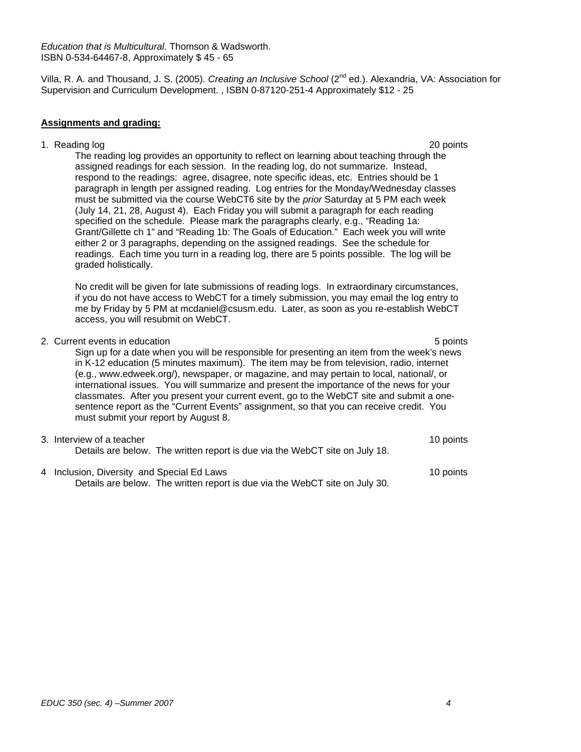Villa, R. A. and Thousand, J. S. (2005). *Creating an Inclusive School* (2nd ed.). Alexandria, VA: Association for Supervision and Curriculum Development. , ISBN 0-87120-251-4 Approximately \$12 - 25

#### **Assignments and grading:**

1. Reading log 20 points

The reading log provides an opportunity to reflect on learning about teaching through the assigned readings for each session. In the reading log, do not summarize. Instead, respond to the readings: agree, disagree, note specific ideas, etc. Entries should be 1 paragraph in length per assigned reading. Log entries for the Monday/Wednesday classes must be submitted via the course WebCT6 site by the *prior* Saturday at 5 PM each week (July 14, 21, 28, August 4). Each Friday you will submit a paragraph for each reading specified on the schedule. Please mark the paragraphs clearly, e.g., "Reading 1a: Grant/Gillette ch 1" and "Reading 1b: The Goals of Education." Each week you will write either 2 or 3 paragraphs, depending on the assigned readings. See the schedule for readings. Each time you turn in a reading log, there are 5 points possible. The log will be graded holistically.

No credit will be given for late submissions of reading logs. In extraordinary circumstances, if you do not have access to WebCT for a timely submission, you may email the log entry to me by Friday by 5 PM at mcdaniel@csusm.edu. Later, as soon as you re-establish WebCT access, you will resubmit on WebCT.

## 2. Current events in education **5 points**  $\sim$  5 points **5 points**

Sign up for a date when you will be responsible for presenting an item from the week's news in K-12 education (5 minutes maximum). The item may be from television, radio, internet (e.g., www.edweek.org/), newspaper, or magazine, and may pertain to local, national/, or international issues. You will summarize and present the importance of the news for your classmates. After you present your current event, go to the WebCT site and submit a onesentence report as the "Current Events" assignment, so that you can receive credit. You must submit your report by August 8.

#### 3. Interview of a teacher 10 points and the set of a teacher 10 points of a teacher 10 points of a teacher 10 points of a teacher 10 points of a teacher 10 points of a teacher 10 points of a teacher 10 points of a teacher Details are below. The written report is due via the WebCT site on July 18.

4 Inclusion, Diversity and Special Ed Laws 10 points Details are below. The written report is due via the WebCT site on July 30.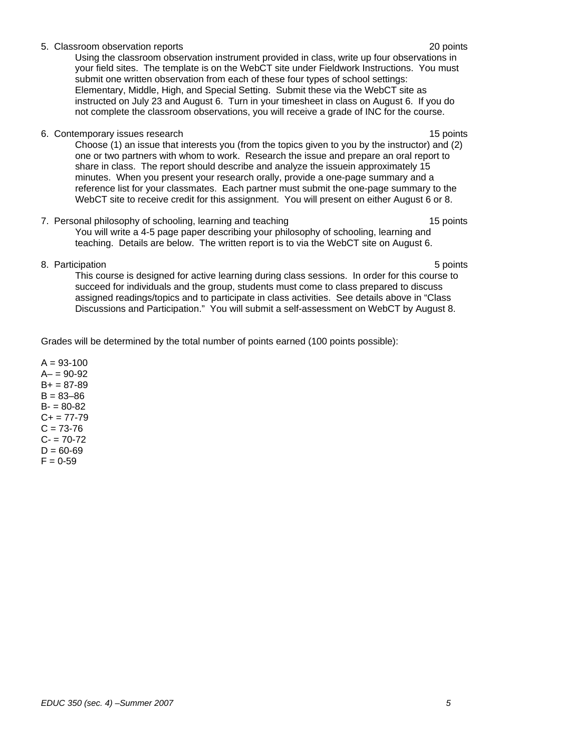### 5. Classroom observation reports 20 points

Using the classroom observation instrument provided in class, write up four observations in your field sites. The template is on the WebCT site under Fieldwork Instructions. You must submit one written observation from each of these four types of school settings: Elementary, Middle, High, and Special Setting. Submit these via the WebCT site as instructed on July 23 and August 6. Turn in your timesheet in class on August 6. If you do not complete the classroom observations, you will receive a grade of INC for the course.

6. Contemporary issues research 15 points and the contemporary issues research 15 points and 15 points of the contemporary issues research 15 points and 15 points of the contemporary issues research 15 points and 15 points

Choose (1) an issue that interests you (from the topics given to you by the instructor) and (2) one or two partners with whom to work. Research the issue and prepare an oral report to share in class. The report should describe and analyze the issuein approximately 15 minutes. When you present your research orally, provide a one-page summary and a reference list for your classmates. Each partner must submit the one-page summary to the WebCT site to receive credit for this assignment. You will present on either August 6 or 8.

- 7. Personal philosophy of schooling, learning and teaching 15 points 15 points You will write a 4-5 page paper describing your philosophy of schooling, learning and teaching. Details are below. The written report is to via the WebCT site on August 6.
- 8. Participation 5 points and 5 points and 5 points of the state of the state of the state of the state of the state of the state of the state of the state of the state of the state of the state of the state of the state o

This course is designed for active learning during class sessions. In order for this course to succeed for individuals and the group, students must come to class prepared to discuss assigned readings/topics and to participate in class activities. See details above in "Class Discussions and Participation." You will submit a self-assessment on WebCT by August 8.

Grades will be determined by the total number of points earned (100 points possible):

 $A = 93 - 100$  $A - 90 - 92$  $B+ = 87-89$  $B = 83 - 86$  $B - 80 - 82$  $C+= 77-79$  $C = 73-76$  $C - 70-72$  $D = 60 - 69$  $F = 0.59$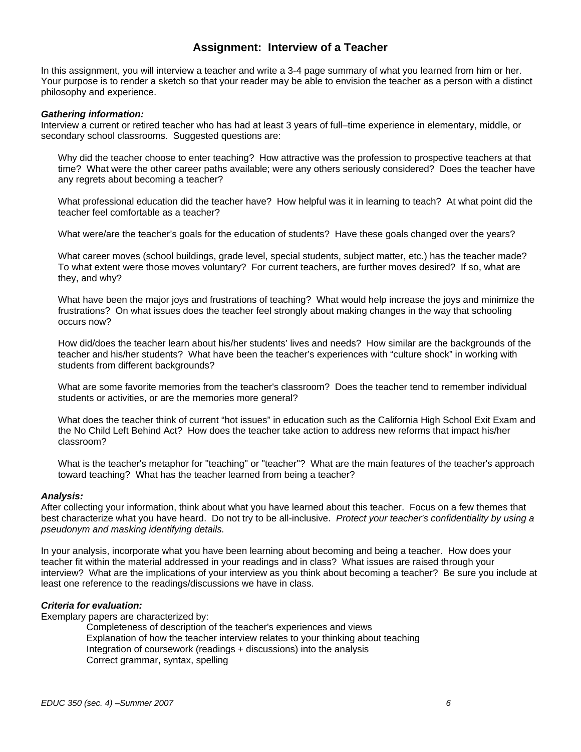## **Assignment: Interview of a Teacher**

In this assignment, you will interview a teacher and write a 3-4 page summary of what you learned from him or her. Your purpose is to render a sketch so that your reader may be able to envision the teacher as a person with a distinct philosophy and experience.

#### *Gathering information:*

Interview a current or retired teacher who has had at least 3 years of full–time experience in elementary, middle, or secondary school classrooms. Suggested questions are:

Why did the teacher choose to enter teaching? How attractive was the profession to prospective teachers at that time? What were the other career paths available; were any others seriously considered? Does the teacher have any regrets about becoming a teacher?

What professional education did the teacher have? How helpful was it in learning to teach? At what point did the teacher feel comfortable as a teacher?

What were/are the teacher's goals for the education of students? Have these goals changed over the years?

What career moves (school buildings, grade level, special students, subject matter, etc.) has the teacher made? To what extent were those moves voluntary? For current teachers, are further moves desired? If so, what are they, and why?

What have been the major joys and frustrations of teaching? What would help increase the joys and minimize the frustrations? On what issues does the teacher feel strongly about making changes in the way that schooling occurs now?

How did/does the teacher learn about his/her students' lives and needs? How similar are the backgrounds of the teacher and his/her students? What have been the teacher's experiences with "culture shock" in working with students from different backgrounds?

What are some favorite memories from the teacher's classroom? Does the teacher tend to remember individual students or activities, or are the memories more general?

What does the teacher think of current "hot issues" in education such as the California High School Exit Exam and the No Child Left Behind Act? How does the teacher take action to address new reforms that impact his/her classroom?

What is the teacher's metaphor for "teaching" or "teacher"? What are the main features of the teacher's approach toward teaching? What has the teacher learned from being a teacher?

#### *Analysis:*

After collecting your information, think about what you have learned about this teacher. Focus on a few themes that best characterize what you have heard. Do not try to be all-inclusive. *Protect your teacher's confidentiality by using a pseudonym and masking identifying details.* 

In your analysis, incorporate what you have been learning about becoming and being a teacher. How does your teacher fit within the material addressed in your readings and in class? What issues are raised through your interview? What are the implications of your interview as you think about becoming a teacher? Be sure you include at least one reference to the readings/discussions we have in class.

#### *Criteria for evaluation:*

Exemplary papers are characterized by:

Completeness of description of the teacher's experiences and views Explanation of how the teacher interview relates to your thinking about teaching Integration of coursework (readings + discussions) into the analysis Correct grammar, syntax, spelling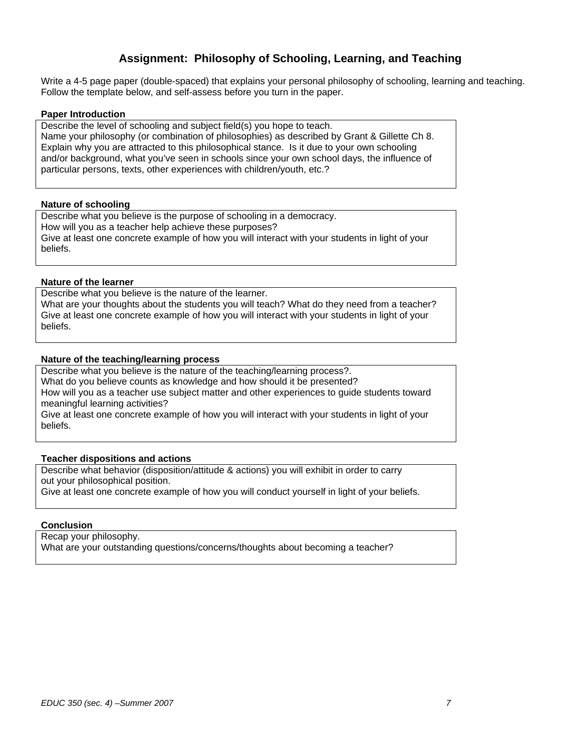## **Assignment: Philosophy of Schooling, Learning, and Teaching**

Write a 4-5 page paper (double-spaced) that explains your personal philosophy of schooling, learning and teaching. Follow the template below, and self-assess before you turn in the paper.

#### **Paper Introduction**

Describe the level of schooling and subject field(s) you hope to teach. Name your philosophy (or combination of philosophies) as described by Grant & Gillette Ch 8. Explain why you are attracted to this philosophical stance. Is it due to your own schooling and/or background, what you've seen in schools since your own school days, the influence of particular persons, texts, other experiences with children/youth, etc.?

#### **Nature of schooling**

Describe what you believe is the purpose of schooling in a democracy. How will you as a teacher help achieve these purposes? Give at least one concrete example of how you will interact with your students in light of your beliefs.

#### **Nature of the learner**

Describe what you believe is the nature of the learner. What are your thoughts about the students you will teach? What do they need from a teacher? Give at least one concrete example of how you will interact with your students in light of your beliefs.

#### **Nature of the teaching/learning process**

Describe what you believe is the nature of the teaching/learning process?.

What do you believe counts as knowledge and how should it be presented?

How will you as a teacher use subject matter and other experiences to guide students toward meaningful learning activities?

Give at least one concrete example of how you will interact with your students in light of your beliefs.

#### **Teacher dispositions and actions**

Describe what behavior (disposition/attitude & actions) you will exhibit in order to carry out your philosophical position. Give at least one concrete example of how you will conduct yourself in light of your beliefs.

#### **Conclusion**

Recap your philosophy.

What are your outstanding questions/concerns/thoughts about becoming a teacher?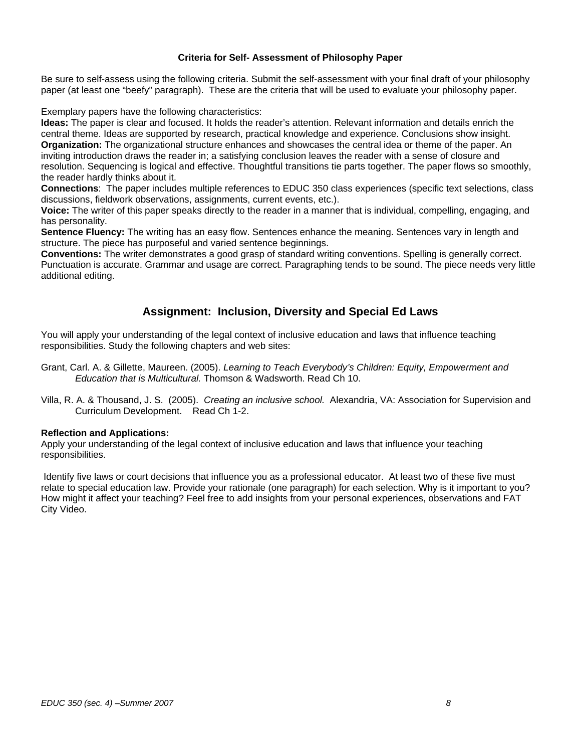#### **Criteria for Self- Assessment of Philosophy Paper**

Be sure to self-assess using the following criteria. Submit the self-assessment with your final draft of your philosophy paper (at least one "beefy" paragraph). These are the criteria that will be used to evaluate your philosophy paper.

Exemplary papers have the following characteristics:

**Ideas:** The paper is clear and focused. It holds the reader's attention. Relevant information and details enrich the central theme. Ideas are supported by research, practical knowledge and experience. Conclusions show insight. **Organization:** The organizational structure enhances and showcases the central idea or theme of the paper. An inviting introduction draws the reader in; a satisfying conclusion leaves the reader with a sense of closure and resolution. Sequencing is logical and effective. Thoughtful transitions tie parts together. The paper flows so smoothly, the reader hardly thinks about it.

**Connections**: The paper includes multiple references to EDUC 350 class experiences (specific text selections, class discussions, fieldwork observations, assignments, current events, etc.).

**Voice:** The writer of this paper speaks directly to the reader in a manner that is individual, compelling, engaging, and has personality.

**Sentence Fluency:** The writing has an easy flow. Sentences enhance the meaning. Sentences vary in length and structure. The piece has purposeful and varied sentence beginnings.

**Conventions:** The writer demonstrates a good grasp of standard writing conventions. Spelling is generally correct. Punctuation is accurate. Grammar and usage are correct. Paragraphing tends to be sound. The piece needs very little additional editing.

## **Assignment: Inclusion, Diversity and Special Ed Laws**

You will apply your understanding of the legal context of inclusive education and laws that influence teaching responsibilities. Study the following chapters and web sites:

Grant, Carl. A. & Gillette, Maureen. (2005). *Learning to Teach Everybody's Children: Equity, Empowerment and Education that is Multicultural.* Thomson & Wadsworth. Read Ch 10.

Villa, R. A. & Thousand, J. S. (2005). *Creating an inclusive school.* Alexandria, VA: Association for Supervision and Curriculum Development. Read Ch 1-2.

#### **Reflection and Applications:**

Apply your understanding of the legal context of inclusive education and laws that influence your teaching responsibilities.

 Identify five laws or court decisions that influence you as a professional educator. At least two of these five must relate to special education law. Provide your rationale (one paragraph) for each selection. Why is it important to you? How might it affect your teaching? Feel free to add insights from your personal experiences, observations and FAT City Video.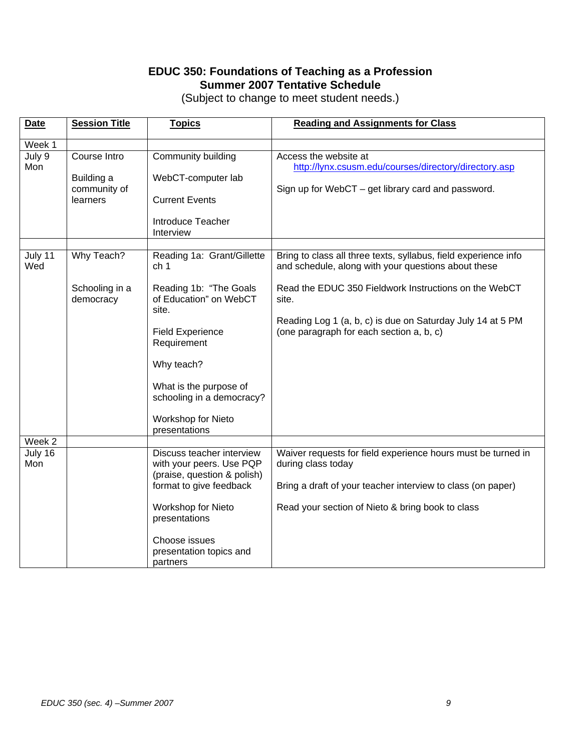# **EDUC 350: Foundations of Teaching as a Profession Summer 2007 Tentative Schedule**

| (Subject to change to meet student needs.) |  |
|--------------------------------------------|--|
|--------------------------------------------|--|

| <b>Date</b>              | <b>Session Title</b>                                   | <b>Topics</b>                                                                                                                                                                                                 | <b>Reading and Assignments for Class</b>                                                                                                                                                                                                                                                           |
|--------------------------|--------------------------------------------------------|---------------------------------------------------------------------------------------------------------------------------------------------------------------------------------------------------------------|----------------------------------------------------------------------------------------------------------------------------------------------------------------------------------------------------------------------------------------------------------------------------------------------------|
| Week 1                   |                                                        |                                                                                                                                                                                                               |                                                                                                                                                                                                                                                                                                    |
| July 9<br>Mon            | Course Intro<br>Building a<br>community of<br>learners | Community building<br>WebCT-computer lab<br><b>Current Events</b><br>Introduce Teacher<br>Interview                                                                                                           | Access the website at<br>http://lynx.csusm.edu/courses/directory/directory.asp<br>Sign up for WebCT - get library card and password.                                                                                                                                                               |
| July 11<br>Wed           | Why Teach?<br>Schooling in a<br>democracy              | Reading 1a: Grant/Gillette<br>ch <sub>1</sub><br>Reading 1b: "The Goals<br>of Education" on WebCT<br>site.<br><b>Field Experience</b><br>Requirement<br>Why teach?                                            | Bring to class all three texts, syllabus, field experience info<br>and schedule, along with your questions about these<br>Read the EDUC 350 Fieldwork Instructions on the WebCT<br>site.<br>Reading Log 1 (a, b, c) is due on Saturday July 14 at 5 PM<br>(one paragraph for each section a, b, c) |
| Week 2<br>July 16<br>Mon |                                                        | What is the purpose of<br>schooling in a democracy?<br>Workshop for Nieto<br>presentations<br>Discuss teacher interview<br>with your peers. Use PQP<br>(praise, question & polish)<br>format to give feedback | Waiver requests for field experience hours must be turned in<br>during class today<br>Bring a draft of your teacher interview to class (on paper)                                                                                                                                                  |
|                          |                                                        | Workshop for Nieto<br>presentations<br>Choose issues<br>presentation topics and<br>partners                                                                                                                   | Read your section of Nieto & bring book to class                                                                                                                                                                                                                                                   |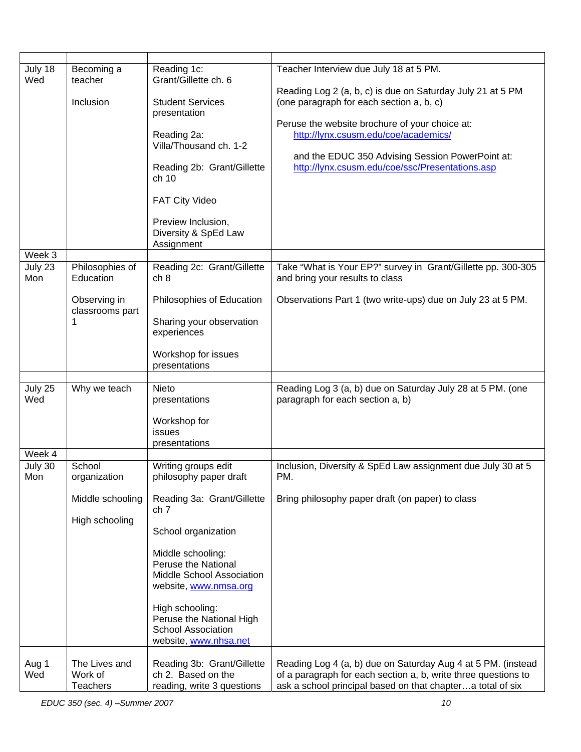| July 18<br>Wed                               | Becoming a<br>teacher<br>Inclusion                 | Reading 1c:<br>Grant/Gillette ch. 6<br><b>Student Services</b><br>presentation<br>Reading 2a:<br>Villa/Thousand ch. 1-2<br>Reading 2b: Grant/Gillette<br>ch <sub>10</sub><br><b>FAT City Video</b><br>Preview Inclusion,<br>Diversity & SpEd Law                                           | Teacher Interview due July 18 at 5 PM.<br>Reading Log 2 (a, b, c) is due on Saturday July 21 at 5 PM<br>(one paragraph for each section a, b, c)<br>Peruse the website brochure of your choice at:<br>http://lynx.csusm.edu/coe/academics/<br>and the EDUC 350 Advising Session PowerPoint at:<br>http://lynx.csusm.edu/coe/ssc/Presentations.asp |
|----------------------------------------------|----------------------------------------------------|--------------------------------------------------------------------------------------------------------------------------------------------------------------------------------------------------------------------------------------------------------------------------------------------|---------------------------------------------------------------------------------------------------------------------------------------------------------------------------------------------------------------------------------------------------------------------------------------------------------------------------------------------------|
|                                              |                                                    | Assignment                                                                                                                                                                                                                                                                                 |                                                                                                                                                                                                                                                                                                                                                   |
| $\overline{\text{Week}}$ 3<br>July 23<br>Mon | Philosophies of<br>Education                       | Reading 2c: Grant/Gillette<br>ch 8                                                                                                                                                                                                                                                         | Take "What is Your EP?" survey in Grant/Gillette pp. 300-305<br>and bring your results to class                                                                                                                                                                                                                                                   |
|                                              | Observing in<br>classrooms part                    | Philosophies of Education<br>Sharing your observation<br>experiences<br>Workshop for issues<br>presentations                                                                                                                                                                               | Observations Part 1 (two write-ups) due on July 23 at 5 PM.                                                                                                                                                                                                                                                                                       |
| July 25<br>Wed<br>Week 4                     | Why we teach                                       | Nieto<br>presentations<br>Workshop for<br>issues<br>presentations                                                                                                                                                                                                                          | Reading Log 3 (a, b) due on Saturday July 28 at 5 PM. (one<br>paragraph for each section a, b)                                                                                                                                                                                                                                                    |
| July 30                                      | School                                             | Writing groups edit                                                                                                                                                                                                                                                                        | Inclusion, Diversity & SpEd Law assignment due July 30 at 5                                                                                                                                                                                                                                                                                       |
| Mon                                          | organization<br>Middle schooling<br>High schooling | philosophy paper draft<br>Reading 3a: Grant/Gillette<br>ch 7<br>School organization<br>Middle schooling:<br>Peruse the National<br>Middle School Association<br>website, www.nmsa.org<br>High schooling:<br>Peruse the National High<br><b>School Association</b><br>website, www.nhsa.net | PM.<br>Bring philosophy paper draft (on paper) to class                                                                                                                                                                                                                                                                                           |
| Aug 1<br>Wed                                 | The Lives and<br>Work of<br><b>Teachers</b>        | Reading 3b: Grant/Gillette<br>ch 2. Based on the<br>reading, write 3 questions                                                                                                                                                                                                             | Reading Log 4 (a, b) due on Saturday Aug 4 at 5 PM. (instead<br>of a paragraph for each section a, b, write three questions to<br>ask a school principal based on that chaptera total of six                                                                                                                                                      |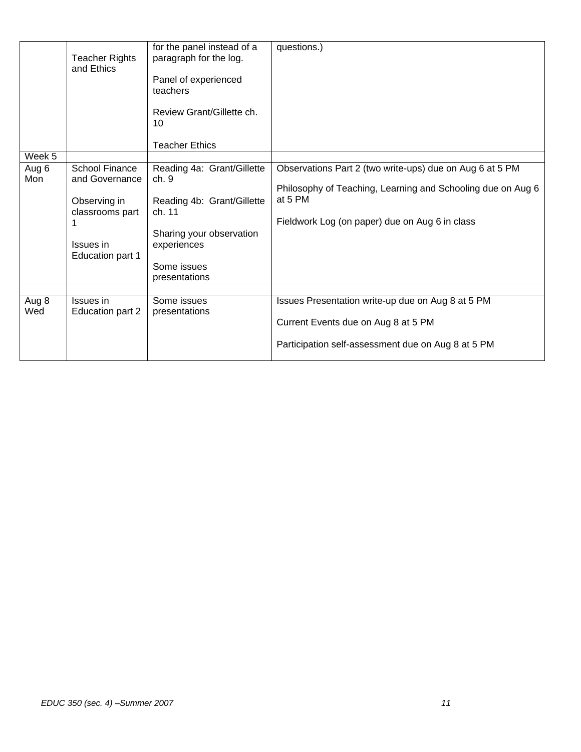|              | <b>Teacher Rights</b><br>and Ethics                                                                         | for the panel instead of a<br>paragraph for the log.<br>Panel of experienced<br>teachers<br>Review Grant/Gillette ch.<br>10<br><b>Teacher Ethics</b>  | questions.)                                                                                                                                                                          |
|--------------|-------------------------------------------------------------------------------------------------------------|-------------------------------------------------------------------------------------------------------------------------------------------------------|--------------------------------------------------------------------------------------------------------------------------------------------------------------------------------------|
| Week 5       |                                                                                                             |                                                                                                                                                       |                                                                                                                                                                                      |
| Aug 6<br>Mon | <b>School Finance</b><br>and Governance<br>Observing in<br>classrooms part<br>Issues in<br>Education part 1 | Reading 4a: Grant/Gillette<br>ch.9<br>Reading 4b: Grant/Gillette<br>ch. 11<br>Sharing your observation<br>experiences<br>Some issues<br>presentations | Observations Part 2 (two write-ups) due on Aug 6 at 5 PM<br>Philosophy of Teaching, Learning and Schooling due on Aug 6<br>at 5 PM<br>Fieldwork Log (on paper) due on Aug 6 in class |
| Aug 8<br>Wed | Issues in<br>Education part 2                                                                               | Some issues<br>presentations                                                                                                                          | Issues Presentation write-up due on Aug 8 at 5 PM<br>Current Events due on Aug 8 at 5 PM<br>Participation self-assessment due on Aug 8 at 5 PM                                       |